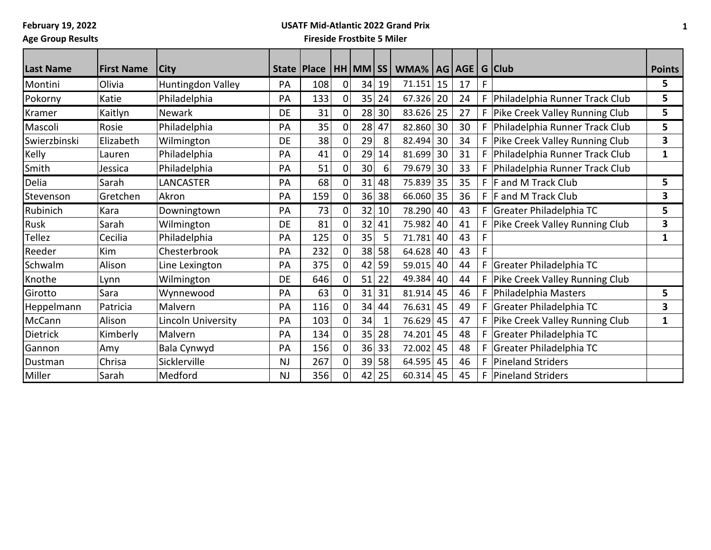**February 19, 2022 Age Group Results**

## **USATF Mid-Atlantic 2022 Grand Prix**

| <b>Last Name</b> | <b>First Name</b> | City               |           | State Place |             | HH MM SS |         | WMA%   AG   AGE   G   Club |    |    |    |                                    | <b>Points</b> |
|------------------|-------------------|--------------------|-----------|-------------|-------------|----------|---------|----------------------------|----|----|----|------------------------------------|---------------|
| Montini          | Olivia            | Huntingdon Valley  | PA        | 108         | $\Omega$    |          | 34 19   | 71.151                     | 15 | 17 | F  |                                    | 5             |
| Pokorny          | Katie             | Philadelphia       | PA        | 133         | $\Omega$    |          | $35$ 24 | 67.326                     | 20 | 24 | F. | Philadelphia Runner Track Club     | 5             |
| Kramer           | Kaitlyn           | <b>Newark</b>      | DE        | 31          | 0           |          | 28 30   | 83.626 25                  |    | 27 |    | F Pike Creek Valley Running Club   | 5             |
| Mascoli          | Rosie             | Philadelphia       | PA        | 35          | $\Omega$    |          | $28$ 47 | 82.860                     | 30 | 30 |    | F Philadelphia Runner Track Club   | 5             |
| Swierzbinski     | Elizabeth         | Wilmington         | DE        | 38          | 0           | 29       | 8       | 82.494                     | 30 | 34 | F. | Pike Creek Valley Running Club     | 3             |
| Kelly            | Lauren            | Philadelphia       | PA        | 41          | 0           | 29       | 14      | 81.699                     | 30 | 31 | F. | Philadelphia Runner Track Club     | $\mathbf 1$   |
| Smith            | Jessica           | Philadelphia       | PA        | 51          | 0           | 30       | 6       | 79.679                     | 30 | 33 | F. | Philadelphia Runner Track Club     |               |
| Delia            | Sarah             | LANCASTER          | PA        | 68          | $\Omega$    | 31       | 48      | 75.839                     | 35 | 35 |    | $F$ F and M Track Club             | 5             |
| Stevenson        | Gretchen          | Akron              | PA        | 159         | 0           |          | 36 38   | 66.060                     | 35 | 36 |    | $F$ F and M Track Club             | 3             |
| Rubinich         | Kara              | Downingtown        | PA        | 73          | $\mathbf 0$ |          | 32 10   | 78.290                     | 40 | 43 | F. | Greater Philadelphia TC            | 5             |
| Rusk             | Sarah             | Wilmington         | DE        | 81          | $\Omega$    | 32       | 41      | 75.982                     | 40 | 41 | F. | Pike Creek Valley Running Club     | 3             |
| Tellez           | Cecilia           | Philadelphia       | PA        | 125         | $\Omega$    | 35       | 5       | 71.781                     | 40 | 43 |    |                                    | 1             |
| Reeder           | Kim               | Chesterbrook       | PA        | 232         | $\Omega$    | 38       | 58      | 64.628                     | 40 | 43 |    |                                    |               |
| Schwalm          | Alison            | Line Lexington     | PA        | 375         | 0           | 42       | 59      | 59.015                     | 40 | 44 | F. | Greater Philadelphia TC            |               |
| Knothe           | Lynn              | Wilmington         | DE        | 646         | $\Omega$    |          | $51$ 22 | 49.384                     | 40 | 44 |    | F   Pike Creek Valley Running Club |               |
| Girotto          | Sara              | Wynnewood          | PA        | 63          | $\mathbf 0$ |          | 31 31   | 81.914                     | 45 | 46 | F. | Philadelphia Masters               | 5             |
| Heppelmann       | Patricia          | Malvern            | PA        | 116         | $\Omega$    | 34       | 44      | 76.631                     | 45 | 49 | F. | Greater Philadelphia TC            | 3             |
| McCann           | Alison            | Lincoln University | PA        | 103         | $\Omega$    | 34       |         | 76.629                     | 45 | 47 |    | Pike Creek Valley Running Club     | 1             |
| Dietrick         | Kimberly          | Malvern            | PA        | 134         | $\Omega$    | 35       | 28      | 74.201                     | 45 | 48 |    | Greater Philadelphia TC            |               |
| Gannon           | Amy               | Bala Cynwyd        | PA        | 156         | $\Omega$    | 36       | 33      | 72.002                     | 45 | 48 | F. | Greater Philadelphia TC            |               |
| Dustman          | Chrisa            | Sicklerville       | <b>NJ</b> | 267         | $\mathbf 0$ | 39       | 58      | 64.595                     | 45 | 46 | F. | Pineland Striders                  |               |
| Miller           | Sarah             | Medford            | <b>NJ</b> | 356         | 0           | 42       | 25      | 60.314                     | 45 | 45 | F. | Pineland Striders                  |               |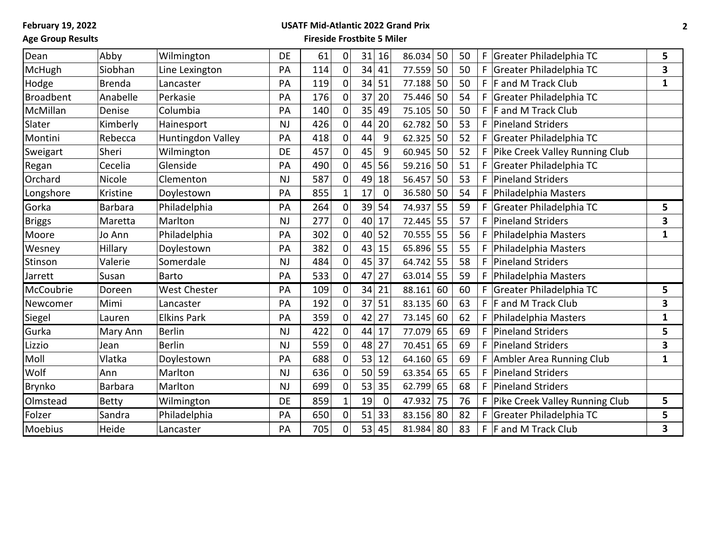## **Age Group Results**

# **USATF Mid-Atlantic 2022 Grand Prix**

| Dean             | Abby           | Wilmington          | DE        | 61  | 0           | 31 | 16          | 86.034    | 50 | 50 | F  | Greater Philadelphia TC        | 5                       |
|------------------|----------------|---------------------|-----------|-----|-------------|----|-------------|-----------|----|----|----|--------------------------------|-------------------------|
| McHugh           | Siobhan        | Line Lexington      | PA        | 114 | $\mathbf 0$ | 34 | 41          | 77.559    | 50 | 50 | F  | Greater Philadelphia TC        | $\overline{\mathbf{3}}$ |
| Hodge            | <b>Brenda</b>  | Lancaster           | PA        | 119 | $\Omega$    | 34 | 51          | 77.188    | 50 | 50 | F  | F and M Track Club             | 1                       |
| <b>Broadbent</b> | Anabelle       | Perkasie            | PA        | 176 | $\Omega$    | 37 | 20          | 75.446    | 50 | 54 |    | Greater Philadelphia TC        |                         |
| McMillan         | Denise         | Columbia            | PA        | 140 | $\Omega$    | 35 | 49          | 75.105    | 50 | 50 | F. | F and M Track Club             |                         |
| Slater           | Kimberly       | Hainesport          | <b>NJ</b> | 426 | $\Omega$    | 44 | 20          | 62.782    | 50 | 53 | F  | <b>Pineland Striders</b>       |                         |
| Montini          | Rebecca        | Huntingdon Valley   | PA        | 418 | $\Omega$    | 44 | 9           | 62.325    | 50 | 52 | F  | Greater Philadelphia TC        |                         |
| Sweigart         | Sheri          | Wilmington          | DE        | 457 | $\mathbf 0$ | 45 | 9           | 60.945    | 50 | 52 | F  | Pike Creek Valley Running Club |                         |
| Regan            | Cecelia        | Glenside            | PA        | 490 | 0           | 45 | 56          | 59.216    | 50 | 51 |    | Greater Philadelphia TC        |                         |
| Orchard          | Nicole         | Clementon           | <b>NJ</b> | 587 | $\mathbf 0$ | 49 | 18          | 56.457    | 50 | 53 |    | <b>Pineland Striders</b>       |                         |
| Longshore        | Kristine       | Doylestown          | PA        | 855 |             | 17 | $\mathbf 0$ | 36.580    | 50 | 54 | F  | Philadelphia Masters           |                         |
| Gorka            | <b>Barbara</b> | Philadelphia        | PA        | 264 | $\Omega$    | 39 | 54          | 74.937    | 55 | 59 | F  | Greater Philadelphia TC        | 5                       |
| <b>Briggs</b>    | Maretta        | Marlton             | <b>NJ</b> | 277 | $\Omega$    | 40 | 17          | 72.445    | 55 | 57 | F  | <b>Pineland Striders</b>       | 3                       |
| Moore            | Jo Ann         | Philadelphia        | PA        | 302 | $\mathbf 0$ | 40 | 52          | 70.555    | 55 | 56 | F  | Philadelphia Masters           | 1                       |
| Wesney           | Hillary        | Doylestown          | PA        | 382 | $\Omega$    | 43 | 15          | 65.896    | 55 | 55 | F  | Philadelphia Masters           |                         |
| Stinson          | Valerie        | Somerdale           | <b>NJ</b> | 484 | $\mathbf 0$ | 45 | 37          | 64.742    | 55 | 58 | F  | <b>Pineland Striders</b>       |                         |
| <b>Jarrett</b>   | Susan          | <b>Barto</b>        | PA        | 533 | $\mathbf 0$ | 47 | 27          | 63.014    | 55 | 59 | F  | Philadelphia Masters           |                         |
| McCoubrie        | Doreen         | <b>West Chester</b> | PA        | 109 | $\Omega$    | 34 | 21          | 88.161    | 60 | 60 | F  | Greater Philadelphia TC        | 5                       |
| Newcomer         | Mimi           | Lancaster           | PA        | 192 | $\Omega$    | 37 | 51          | 83.135    | 60 | 63 | F  | <b>F</b> and M Track Club      | 3                       |
| Siegel           | Lauren         | <b>Elkins Park</b>  | PA        | 359 | $\pmb{0}$   | 42 | 27          | 73.145    | 60 | 62 | F  | Philadelphia Masters           | 1                       |
| Gurka            | Mary Ann       | <b>Berlin</b>       | <b>NJ</b> | 422 | 0           | 44 | 17          | 77.079    | 65 | 69 | F  | <b>Pineland Striders</b>       | 5                       |
| Lizzio           | Jean           | <b>Berlin</b>       | <b>NJ</b> | 559 | $\Omega$    | 48 | 27          | 70.451    | 65 | 69 | F  | <b>Pineland Striders</b>       | 3                       |
| Moll             | Vlatka         | Doylestown          | PA        | 688 | 0           | 53 | 12          | 64.160    | 65 | 69 |    | Ambler Area Running Club       | 1                       |
| Wolf             | Ann            | Marlton             | <b>NJ</b> | 636 | $\Omega$    | 50 | 59          | 63.354    | 65 | 65 | F  | <b>Pineland Striders</b>       |                         |
| <b>Brynko</b>    | <b>Barbara</b> | Marlton             | <b>NJ</b> | 699 | 0           | 53 | 35          | 62.799    | 65 | 68 | F  | <b>Pineland Striders</b>       |                         |
| Olmstead         | <b>Betty</b>   | Wilmington          | DE        | 859 |             | 19 | $\mathbf 0$ | 47.932    | 75 | 76 | F  | Pike Creek Valley Running Club | 5                       |
| Folzer           | Sandra         | Philadelphia        | PA        | 650 | 0           | 51 | 33          | 83.156    | 80 | 82 | F  | Greater Philadelphia TC        | 5                       |
| Moebius          | Heide          | Lancaster           | PA        | 705 | 0           | 53 | 45          | 81.984 80 |    | 83 |    | $F$ F and M Track Club         | 3                       |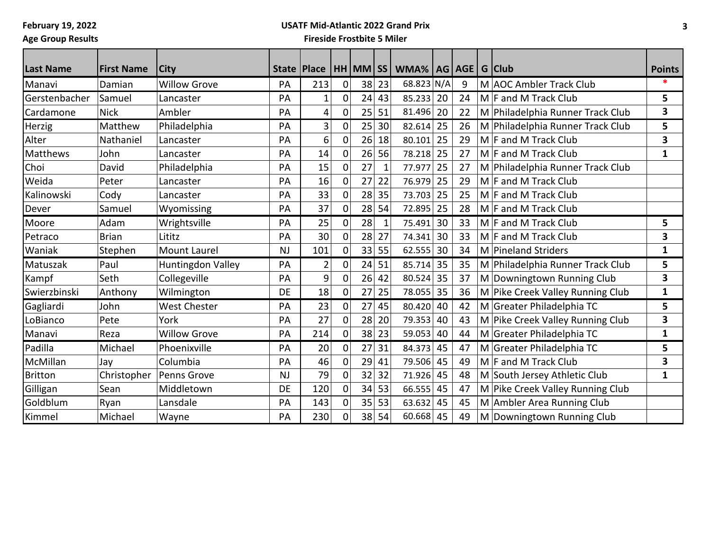# **USATF Mid-Atlantic 2022 Grand Prix**

**Age Group Results**

| <b>Last Name</b> | <b>First Name</b> | <b>City</b>         |           |                |                |    |              | State   Place   HH   MM   SS   WMA%   AG   AGE   G   Club |    |    |                                  | <b>Points</b>           |
|------------------|-------------------|---------------------|-----------|----------------|----------------|----|--------------|-----------------------------------------------------------|----|----|----------------------------------|-------------------------|
| Manavi           | Damian            | <b>Willow Grove</b> | PA        | 213            | 0              | 38 | 23           | 68.823 N/A                                                |    | 9  | M AOC Ambler Track Club          | ∗                       |
| Gerstenbacher    | Samuel            | Lancaster           | PA        | $\mathbf 1$    | $\overline{0}$ | 24 | 43           | 85.233 20                                                 |    | 24 | $M$ F and M Track Club           | 5                       |
| Cardamone        | <b>Nick</b>       | Ambler              | PA        | 4              | $\overline{0}$ | 25 | 51           | 81.496                                                    | 20 | 22 | M Philadelphia Runner Track Club | 3                       |
| Herzig           | Matthew           | Philadelphia        | PA        | 3              | $\overline{0}$ | 25 | 30           | $82.614$ 25                                               |    | 26 | M Philadelphia Runner Track Club | 5                       |
| Alter            | Nathaniel         | Lancaster           | PA        | 6              | $\overline{0}$ | 26 | 18           | 80.101                                                    | 25 | 29 | $M \mid F$ and M Track Club      | 3                       |
| <b>Matthews</b>  | John              | Lancaster           | PA        | 14             | $\overline{0}$ | 26 | 56           | 78.218                                                    | 25 | 27 | $M \mid F$ and M Track Club      | 1                       |
| Choi             | David             | Philadelphia        | PA        | 15             | $\overline{0}$ | 27 | $\mathbf{1}$ | 77.977                                                    | 25 | 27 | M Philadelphia Runner Track Club |                         |
| Weida            | Peter             | Lancaster           | PA        | 16             | $\Omega$       | 27 | 22           | 76.979                                                    | 25 | 29 | $M$ F and M Track Club           |                         |
| Kalinowski       | Cody              | Lancaster           | PA        | 33             | $\overline{0}$ | 28 | 35           | 73.703                                                    | 25 | 25 | $M$ F and M Track Club           |                         |
| Dever            | Samuel            | Wyomissing          | PA        | 37             | $\mathbf 0$    | 28 | 54           | 72.895                                                    | 25 | 28 | $M$ F and M Track Club           |                         |
| Moore            | Adam              | Wrightsville        | PA        | 25             | $\mathbf{0}$   | 28 | $\mathbf{1}$ | 75.491                                                    | 30 | 33 | $M$ F and M Track Club           | 5                       |
| Petraco          | <b>Brian</b>      | Lititz              | PA        | 30             | 0              | 28 | 27           | 74.341                                                    | 30 | 33 | $M$ F and M Track Club           | 3                       |
| Waniak           | Stephen           | <b>Mount Laurel</b> | <b>NJ</b> | 101            | $\mathbf 0$    | 33 | 55           | 62.555                                                    | 30 | 34 | M Pineland Striders              | $\mathbf{1}$            |
| Matuszak         | Paul              | Huntingdon Valley   | PA        | $\overline{2}$ | $\mathbf 0$    | 24 | 51           | 85.714                                                    | 35 | 35 | M Philadelphia Runner Track Club | 5                       |
| Kampf            | Seth              | Collegeville        | PA        | 9              | $\overline{0}$ | 26 | 42           | 80.524                                                    | 35 | 37 | M Downingtown Running Club       | $\overline{\mathbf{3}}$ |
| Swierzbinski     | Anthony           | Wilmington          | DE        | 18             | $\overline{0}$ | 27 | 25           | 78.055                                                    | 35 | 36 | M Pike Creek Valley Running Club | $\mathbf{1}$            |
| Gagliardi        | John              | <b>West Chester</b> | PA        | 23             | $\overline{0}$ | 27 | 45           | 80.420                                                    | 40 | 42 | M Greater Philadelphia TC        | 5                       |
| LoBianco         | Pete              | York                | PA        | 27             | $\overline{0}$ | 28 | 20           | 79.353                                                    | 40 | 43 | M Pike Creek Valley Running Club | 3                       |
| Manavi           | Reza              | <b>Willow Grove</b> | PA        | 214            | $\mathbf 0$    | 38 | 23           | 59.053                                                    | 40 | 44 | M Greater Philadelphia TC        | 1                       |
| Padilla          | Michael           | Phoenixville        | PA        | 20             | $\overline{0}$ | 27 | 31           | 84.373                                                    | 45 | 47 | M Greater Philadelphia TC        | 5                       |
| McMillan         | Jay               | Columbia            | PA        | 46             | 0              | 29 | 41           | 79.506                                                    | 45 | 49 | $M$ F and M Track Club           | 3                       |
| <b>Britton</b>   | Christopher       | Penns Grove         | <b>NJ</b> | 79             | $\overline{0}$ | 32 | 32           | 71.926                                                    | 45 | 48 | M South Jersey Athletic Club     | 1                       |
| Gilligan         | Sean              | Middletown          | DE        | 120            | $\overline{0}$ | 34 | 53           | 66.555                                                    | 45 | 47 | M Pike Creek Valley Running Club |                         |
| Goldblum         | Ryan              | Lansdale            | PA        | 143            | $\mathbf{0}$   | 35 | 53           | 63.632                                                    | 45 | 45 | M Ambler Area Running Club       |                         |
| Kimmel           | Michael           | Wayne               | PA        | 230            | $\overline{0}$ | 38 | 54           | $60.668$ 45                                               |    | 49 | M Downingtown Running Club       |                         |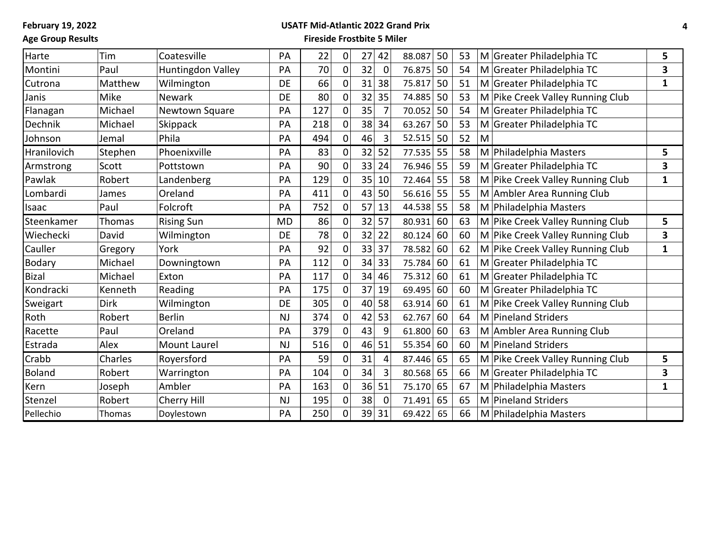## **Age Group Results**

# **USATF Mid-Atlantic 2022 Grand Prix**

| Harte         | Tim         | Coatesville         | PA        | 22  | 0           | 27 | 42          | 88.087 | 50 | 53 |   | M Greater Philadelphia TC        | 5 |
|---------------|-------------|---------------------|-----------|-----|-------------|----|-------------|--------|----|----|---|----------------------------------|---|
| Montini       | Paul        | Huntingdon Valley   | PA        | 70  | $\mathbf 0$ | 32 | $\mathbf 0$ | 76.875 | 50 | 54 |   | M Greater Philadelphia TC        | 3 |
| Cutrona       | Matthew     | Wilmington          | DE        | 66  | 0           | 31 | 38          | 75.817 | 50 | 51 |   | M Greater Philadelphia TC        | 1 |
| Janis         | Mike        | Newark              | DE        | 80  | $\Omega$    | 32 | 35          | 74.885 | 50 | 53 |   | M Pike Creek Valley Running Club |   |
| Flanagan      | Michael     | Newtown Square      | PA        | 127 | 0           | 35 |             | 70.052 | 50 | 54 |   | M Greater Philadelphia TC        |   |
| Dechnik       | Michael     | <b>Skippack</b>     | PA        | 218 | 0           | 38 | 34          | 63.267 | 50 | 53 |   | M Greater Philadelphia TC        |   |
| Johnson       | Jemal       | Phila               | PA        | 494 | 0           | 46 | 3           | 52.515 | 50 | 52 | M |                                  |   |
| Hranilovich   | Stephen     | Phoenixville        | PA        | 83  | 0           | 32 | 52          | 77.535 | 55 | 58 |   | M Philadelphia Masters           | 5 |
| Armstrong     | Scott       | Pottstown           | PA        | 90  | 0           | 33 | 24          | 76.946 | 55 | 59 |   | M Greater Philadelphia TC        | 3 |
| Pawlak        | Robert      | Landenberg          | PA        | 129 | $\Omega$    | 35 | 10          | 72.464 | 55 | 58 |   | M Pike Creek Valley Running Club | 1 |
| Lombardi      | James       | Oreland             | PA        | 411 | 0           | 43 | 50          | 56.616 | 55 | 55 |   | M Ambler Area Running Club       |   |
| Isaac         | Paul        | Folcroft            | PA        | 752 | 0           | 57 | 13          | 44.538 | 55 | 58 |   | M Philadelphia Masters           |   |
| Steenkamer    | Thomas      | <b>Rising Sun</b>   | <b>MD</b> | 86  | 0           | 32 | 57          | 80.931 | 60 | 63 |   | M Pike Creek Valley Running Club | 5 |
| Wiechecki     | David       | Wilmington          | DE        | 78  | 0           | 32 | 22          | 80.124 | 60 | 60 |   | M Pike Creek Valley Running Club | 3 |
| Cauller       | Gregory     | York                | PA        | 92  | $\Omega$    | 33 | 37          | 78.582 | 60 | 62 |   | M Pike Creek Valley Running Club | 1 |
| <b>Bodary</b> | Michael     | Downingtown         | PA        | 112 | $\mathbf 0$ | 34 | 33          | 75.784 | 60 | 61 |   | M Greater Philadelphia TC        |   |
| <b>Bizal</b>  | Michael     | Exton               | PA        | 117 | 0           | 34 | 46          | 75.312 | 60 | 61 |   | M Greater Philadelphia TC        |   |
| Kondracki     | Kenneth     | Reading             | PA        | 175 | 0           | 37 | 19          | 69.495 | 60 | 60 |   | M Greater Philadelphia TC        |   |
| Sweigart      | <b>Dirk</b> | Wilmington          | DE        | 305 | $\Omega$    | 40 | 58          | 63.914 | 60 | 61 |   | M Pike Creek Valley Running Club |   |
| Roth          | Robert      | <b>Berlin</b>       | <b>NJ</b> | 374 | 0           | 42 | 53          | 62.767 | 60 | 64 |   | M Pineland Striders              |   |
| Racette       | Paul        | Oreland             | PA        | 379 | 0           | 43 | 9           | 61.800 | 60 | 63 |   | M Ambler Area Running Club       |   |
| Estrada       | Alex        | <b>Mount Laurel</b> | <b>NJ</b> | 516 | 0           | 46 | 51          | 55.354 | 60 | 60 |   | M Pineland Striders              |   |
| Crabb         | Charles     | Royersford          | PA        | 59  | 0           | 31 | 4           | 87.446 | 65 | 65 |   | M Pike Creek Valley Running Club | 5 |
| <b>Boland</b> | Robert      | Warrington          | PA        | 104 | 0           | 34 | 3           | 80.568 | 65 | 66 |   | M Greater Philadelphia TC        | 3 |
| Kern          | Joseph      | Ambler              | PA        | 163 | $\Omega$    | 36 | 51          | 75.170 | 65 | 67 |   | M Philadelphia Masters           | 1 |
| Stenzel       | Robert      | Cherry Hill         | <b>NJ</b> | 195 | 0           | 38 | $\mathbf 0$ | 71.491 | 65 | 65 |   | M Pineland Striders              |   |
| Pellechio     | Thomas      | Doylestown          | PA        | 250 | 0           | 39 | 31          | 69.422 | 65 | 66 |   | M Philadelphia Masters           |   |